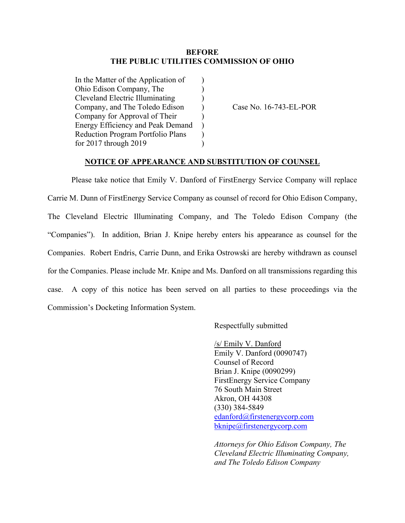## **BEFORE THE PUBLIC UTILITIES COMMISSION OF OHIO**

| In the Matter of the Application of      |               |
|------------------------------------------|---------------|
| Ohio Edison Company, The                 |               |
| <b>Cleveland Electric Illuminating</b>   | $\lambda$     |
| Company, and The Toledo Edison           | $\mathcal{E}$ |
| Company for Approval of Their            | $\mathcal{E}$ |
| <b>Energy Efficiency and Peak Demand</b> | Ι             |
| <b>Reduction Program Portfolio Plans</b> |               |
| for 2017 through 2019                    |               |
|                                          |               |

Case No. 16-743-EL-POR

## **NOTICE OF APPEARANCE AND SUBSTITUTION OF COUNSEL**

Please take notice that Emily V. Danford of FirstEnergy Service Company will replace Carrie M. Dunn of FirstEnergy Service Company as counsel of record for Ohio Edison Company, The Cleveland Electric Illuminating Company, and The Toledo Edison Company (the "Companies"). In addition, Brian J. Knipe hereby enters his appearance as counsel for the Companies. Robert Endris, Carrie Dunn, and Erika Ostrowski are hereby withdrawn as counsel for the Companies. Please include Mr. Knipe and Ms. Danford on all transmissions regarding this case. A copy of this notice has been served on all parties to these proceedings via the Commission's Docketing Information System.

Respectfully submitted

/s/ Emily V. Danford Emily V. Danford (0090747) Counsel of Record Brian J. Knipe (0090299) FirstEnergy Service Company 76 South Main Street Akron, OH 44308 (330) 384-5849 [edanford@firstenergycorp.com](mailto:edanford@firstenergycorp.com) bknipe@firstenergycorp.com

*Attorneys for Ohio Edison Company, The Cleveland Electric Illuminating Company, and The Toledo Edison Company*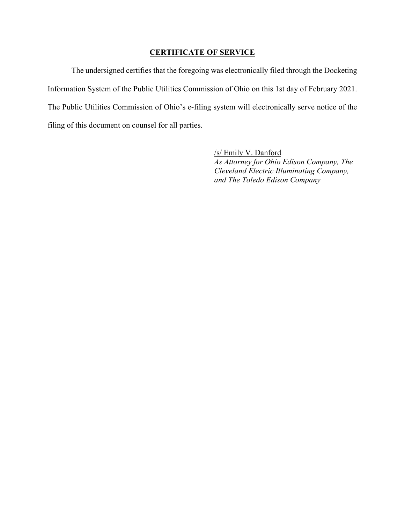## **CERTIFICATE OF SERVICE**

The undersigned certifies that the foregoing was electronically filed through the Docketing Information System of the Public Utilities Commission of Ohio on this 1st day of February 2021. The Public Utilities Commission of Ohio's e-filing system will electronically serve notice of the filing of this document on counsel for all parties.

> /s/ Emily V. Danford *As Attorney for Ohio Edison Company, The Cleveland Electric Illuminating Company, and The Toledo Edison Company*